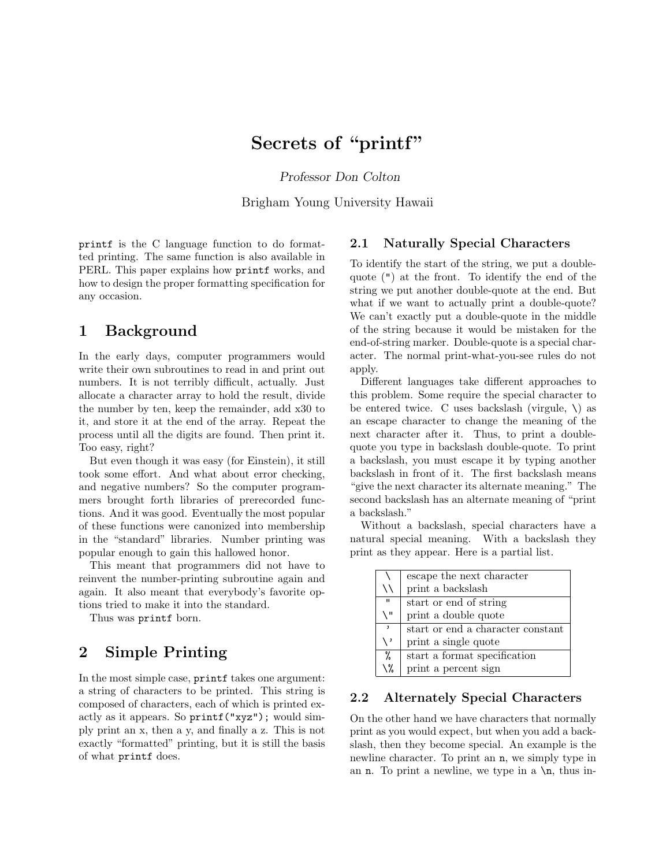# Secrets of "printf"

Professor Don Colton

Brigham Young University Hawaii

printf is the C language function to do formatted printing. The same function is also available in PERL. This paper explains how printf works, and how to design the proper formatting specification for any occasion.

## 1 Background

In the early days, computer programmers would write their own subroutines to read in and print out numbers. It is not terribly difficult, actually. Just allocate a character array to hold the result, divide the number by ten, keep the remainder, add x30 to it, and store it at the end of the array. Repeat the process until all the digits are found. Then print it. Too easy, right?

But even though it was easy (for Einstein), it still took some effort. And what about error checking, and negative numbers? So the computer programmers brought forth libraries of prerecorded functions. And it was good. Eventually the most popular of these functions were canonized into membership in the "standard" libraries. Number printing was popular enough to gain this hallowed honor.

This meant that programmers did not have to reinvent the number-printing subroutine again and again. It also meant that everybody's favorite options tried to make it into the standard.

Thus was printf born.

## 2 Simple Printing

In the most simple case, printf takes one argument: a string of characters to be printed. This string is composed of characters, each of which is printed exactly as it appears. So printf("xyz"); would simply print an x, then a y, and finally a z. This is not exactly "formatted" printing, but it is still the basis of what printf does.

#### 2.1 Naturally Special Characters

To identify the start of the string, we put a doublequote (") at the front. To identify the end of the string we put another double-quote at the end. But what if we want to actually print a double-quote? We can't exactly put a double-quote in the middle of the string because it would be mistaken for the end-of-string marker. Double-quote is a special character. The normal print-what-you-see rules do not apply.

Different languages take different approaches to this problem. Some require the special character to be entered twice. C uses backslash (virgule,  $\setminus$ ) as an escape character to change the meaning of the next character after it. Thus, to print a doublequote you type in backslash double-quote. To print a backslash, you must escape it by typing another backslash in front of it. The first backslash means "give the next character its alternate meaning." The second backslash has an alternate meaning of "print a backslash."

Without a backslash, special characters have a natural special meaning. With a backslash they print as they appear. Here is a partial list.

| ∖                        | escape the next character         |
|--------------------------|-----------------------------------|
| $\setminus$              | print a backslash                 |
| $\mathbf{H}$             | start or end of string            |
| ۱۱ )                     | print a double quote              |
| $\overline{\phantom{a}}$ | start or end a character constant |
| $\langle$ ,              | print a single quote              |
| %                        | start a format specification      |
| \%                       | print a percent sign              |

#### 2.2 Alternately Special Characters

On the other hand we have characters that normally print as you would expect, but when you add a backslash, then they become special. An example is the newline character. To print an n, we simply type in an n. To print a newline, we type in a  $\n\times$  thus in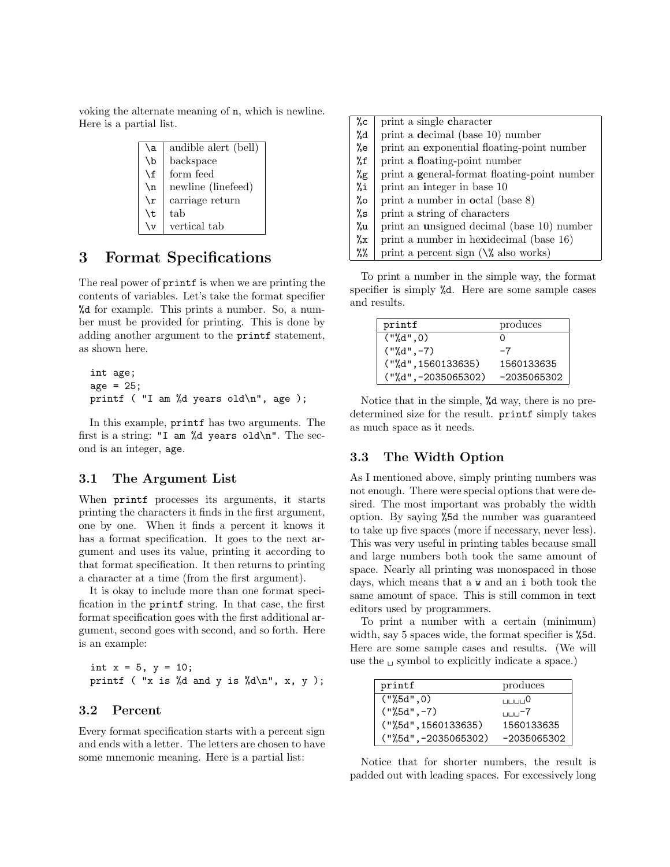voking the alternate meaning of n, which is newline. Here is a partial list.

| ١a        | audible alert (bell) |
|-----------|----------------------|
| $\lambda$ | backspace            |
| ١f        | form feed            |
| \n        | newline (linefeed)   |
| \r        | carriage return      |
| ١t        | tab                  |
|           | vertical tab         |

# 3 Format Specifications

The real power of printf is when we are printing the contents of variables. Let's take the format specifier %d for example. This prints a number. So, a number must be provided for printing. This is done by adding another argument to the printf statement, as shown here.

```
int age;
age = 25;printf ( "I am %d years old\n", age );
```
In this example, printf has two arguments. The first is a string: "I am %d years old\n". The second is an integer, age.

#### 3.1 The Argument List

When printf processes its arguments, it starts printing the characters it finds in the first argument, one by one. When it finds a percent it knows it has a format specification. It goes to the next argument and uses its value, printing it according to that format specification. It then returns to printing a character at a time (from the first argument).

It is okay to include more than one format specification in the printf string. In that case, the first format specification goes with the first additional argument, second goes with second, and so forth. Here is an example:

```
int x = 5, y = 10;
printf ( "x is %d and y is %d\n", x, y );
```
#### 3.2 Percent

Every format specification starts with a percent sign and ends with a letter. The letters are chosen to have some mnemonic meaning. Here is a partial list:

| %c               | print a single character                     |
|------------------|----------------------------------------------|
| %d               | print a decimal (base 10) number             |
| %e               | print an exponential floating-point number   |
| %f               | print a floating-point number                |
| $\%g$            | print a general-format floating-point number |
| %i               | print an integer in base 10                  |
| %∘               | print a number in octal (base 8)             |
| %ട               | print a string of characters                 |
| %u               | print an unsigned decimal (base 10) number   |
| $\gamma_{\rm x}$ | print a number in hexidecimal (base 16)      |
| $\%$             | print a percent sign $(\aleph_0$ also works) |

To print a number in the simple way, the format specifier is simply %d. Here are some sample cases and results.

| printf                | produces    |
|-----------------------|-------------|
| ("%d", 0)             | $\cap$      |
| $("%d", -7)$          | $-7$        |
| ("%d", 1560133635)    | 1560133635  |
| $("%d", -2035065302)$ | -2035065302 |

Notice that in the simple,  $\lambda d$  way, there is no predetermined size for the result. printf simply takes as much space as it needs.

### 3.3 The Width Option

As I mentioned above, simply printing numbers was not enough. There were special options that were desired. The most important was probably the width option. By saying %5d the number was guaranteed to take up five spaces (more if necessary, never less). This was very useful in printing tables because small and large numbers both took the same amount of space. Nearly all printing was monospaced in those days, which means that a w and an i both took the same amount of space. This is still common in text editors used by programmers.

To print a number with a certain (minimum) width, say 5 spaces wide, the format specifier is  $%5d$ . Here are some sample cases and results. (We will use the  $\Box$  symbol to explicitly indicate a space.)

| printf                 | produces       |
|------------------------|----------------|
| $($ "%5d", 0)          | O <sub>U</sub> |
| $("%5d", -7)$          | ⊥ ⊪ ⊪ ⊢7       |
| ("%5d", 1560133635)    | 1560133635     |
| $("%5d", -2035065302)$ | $-2035065302$  |

Notice that for shorter numbers, the result is padded out with leading spaces. For excessively long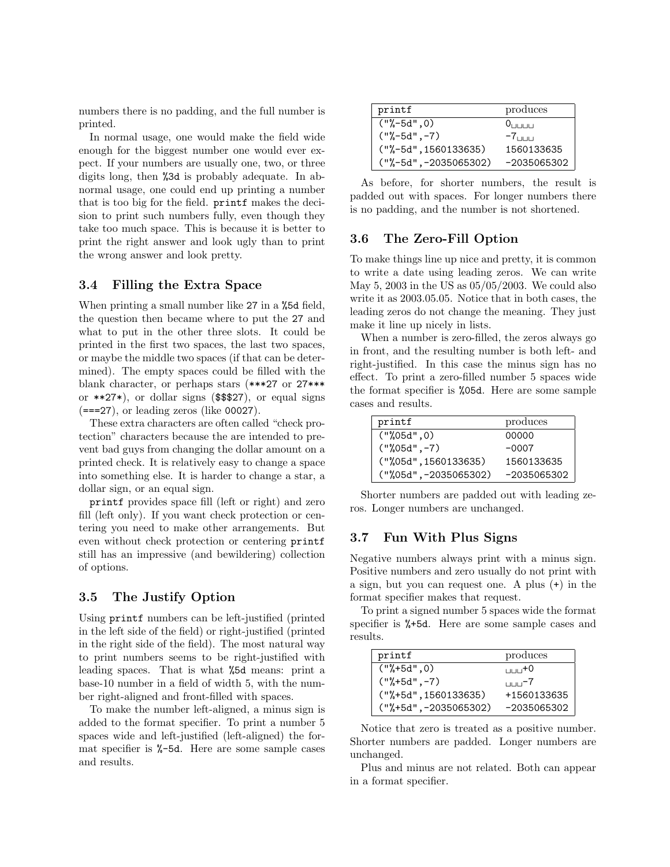numbers there is no padding, and the full number is printed.

In normal usage, one would make the field wide enough for the biggest number one would ever expect. If your numbers are usually one, two, or three digits long, then %3d is probably adequate. In abnormal usage, one could end up printing a number that is too big for the field. printf makes the decision to print such numbers fully, even though they take too much space. This is because it is better to print the right answer and look ugly than to print the wrong answer and look pretty.

#### 3.4 Filling the Extra Space

When printing a small number like 27 in a %5d field, the question then became where to put the 27 and what to put in the other three slots. It could be printed in the first two spaces, the last two spaces, or maybe the middle two spaces (if that can be determined). The empty spaces could be filled with the blank character, or perhaps stars (\*\*\*27 or 27\*\*\* or \*\*27\*), or dollar signs (\$\$\$27), or equal signs (===27), or leading zeros (like 00027).

These extra characters are often called "check protection" characters because the are intended to prevent bad guys from changing the dollar amount on a printed check. It is relatively easy to change a space into something else. It is harder to change a star, a dollar sign, or an equal sign.

printf provides space fill (left or right) and zero fill (left only). If you want check protection or centering you need to make other arrangements. But even without check protection or centering printf still has an impressive (and bewildering) collection of options.

#### 3.5 The Justify Option

Using printf numbers can be left-justified (printed in the left side of the field) or right-justified (printed in the right side of the field). The most natural way to print numbers seems to be right-justified with leading spaces. That is what %5d means: print a base-10 number in a field of width 5, with the number right-aligned and front-filled with spaces.

To make the number left-aligned, a minus sign is added to the format specifier. To print a number 5 spaces wide and left-justified (left-aligned) the format specifier is %-5d. Here are some sample cases and results.

| printf                  | produces                          |
|-------------------------|-----------------------------------|
| $("%-5d", 0)$           | $O_{\text{L}}$ is a set of $\sim$ |
| $("%-5d", -7)$          | $-7$ <sub>+ H-H-H</sub>           |
| $("%-5d", 1560133635)$  | 1560133635                        |
| $('%-5d", -2035065302)$ | -2035065302                       |

As before, for shorter numbers, the result is padded out with spaces. For longer numbers there is no padding, and the number is not shortened.

#### 3.6 The Zero-Fill Option

To make things line up nice and pretty, it is common to write a date using leading zeros. We can write May 5, 2003 in the US as 05/05/2003. We could also write it as 2003.05.05. Notice that in both cases, the leading zeros do not change the meaning. They just make it line up nicely in lists.

When a number is zero-filled, the zeros always go in front, and the resulting number is both left- and right-justified. In this case the minus sign has no effect. To print a zero-filled number 5 spaces wide the format specifier is %05d. Here are some sample cases and results.

| printf                   | produces    |
|--------------------------|-------------|
| ("%05d", 0)              | 00000       |
| $("%05d", -7)$           | $-0007$     |
| $($ "%05d", 1560133635)  | 1560133635  |
| $($ "%05d", -2035065302) | -2035065302 |

Shorter numbers are padded out with leading zeros. Longer numbers are unchanged.

#### 3.7 Fun With Plus Signs

Negative numbers always print with a minus sign. Positive numbers and zero usually do not print with a sign, but you can request one. A plus (+) in the format specifier makes that request.

To print a signed number 5 spaces wide the format specifier is %+5d. Here are some sample cases and results.

| printf                  | produces             |
|-------------------------|----------------------|
| $($ "%+5d", 0)          | பபடர்+0              |
| $("%+5d", -7)$          | ⊥⊪ ⊪ i <sup>-7</sup> |
| $("%+5d", 1560133635)$  | +1560133635          |
| $("%+5d", -2035065302)$ | $-2035065302$        |

Notice that zero is treated as a positive number. Shorter numbers are padded. Longer numbers are unchanged.

Plus and minus are not related. Both can appear in a format specifier.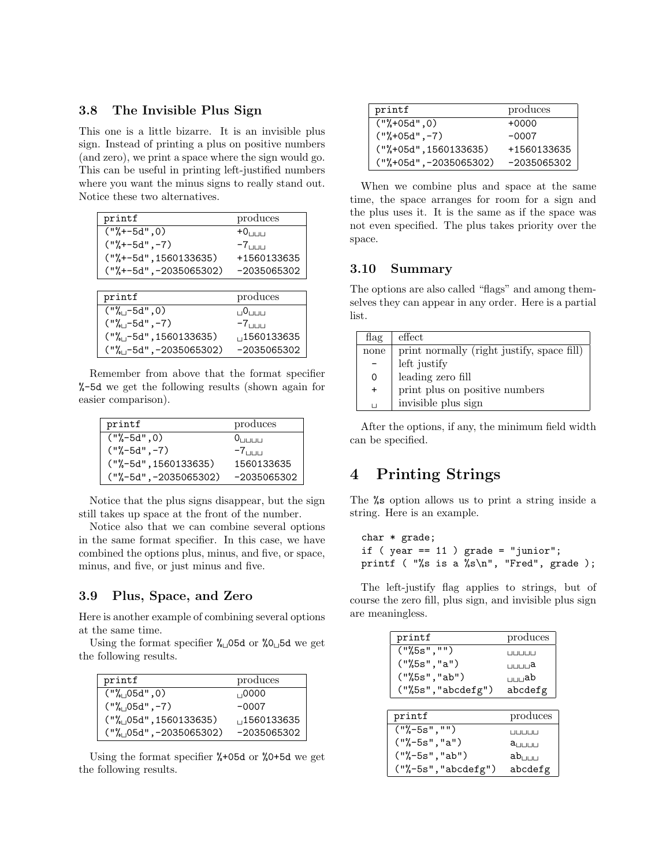#### 3.8 The Invisible Plus Sign

This one is a little bizarre. It is an invisible plus sign. Instead of printing a plus on positive numbers (and zero), we print a space where the sign would go. This can be useful in printing left-justified numbers where you want the minus signs to really stand out. Notice these two alternatives.

| printf                   | produces                |
|--------------------------|-------------------------|
| $("%+-5d",0)$            | $+0$                    |
| $("%+-5d", -7)$          | $-7$ <sub>+ H-H-H</sub> |
| $("%+-5d", 1560133635)$  | +1560133635             |
| $("%+-5d", -2035065302)$ | -2035065302             |
|                          |                         |
| printf                   | produces                |
| $("% - 5d", 0)$          | 1 10 11 11 1            |
| $("% -5d", -7)$          | $-7$                    |
| $("% - 5d", 1560133635)$ | 1560133635              |
| $("% -5d", -2035065302)$ | -2035065302             |

Remember from above that the format specifier %-5d we get the following results (shown again for easier comparison).

| printf                  | produces       |
|-------------------------|----------------|
| $("%-5d",0)$            | $O_{L1L1L1L1}$ |
| $("%-5d", -7)$          | $-7$           |
| $("%-5d", 1560133635)$  | 1560133635     |
| $("%-5d", -2035065302)$ | $-2035065302$  |

Notice that the plus signs disappear, but the sign still takes up space at the front of the number.

Notice also that we can combine several options in the same format specifier. In this case, we have combined the options plus, minus, and five, or space, minus, and five, or just minus and five.

#### 3.9 Plus, Space, and Zero

Here is another example of combining several options at the same time.

Using the format specifier  $\frac{1}{2}$  05d or  $\frac{1}{2}$  0.5d we get the following results.

| printf                           | produces      |
|----------------------------------|---------------|
| ("%05d".0)                       | 0000          |
| $("%]$ <sub>0</sub> 5d", -7)     | $-0007$       |
| ("%]05d", 1560133635)            | □ 1560133635  |
| $(\sqrt[m]{105d}$ , -2035065302) | $-2035065302$ |

Using the format specifier %+05d or %0+5d we get the following results.

| printf                    | produces      |
|---------------------------|---------------|
| $("%+05d",0)$             | $+0000$       |
| $("%+05d", -7)$           | $-0007$       |
| $($ "%+05d", 1560133635)  | +1560133635   |
| $($ "%+05d", -2035065302) | $-2035065302$ |

When we combine plus and space at the same time, the space arranges for room for a sign and the plus uses it. It is the same as if the space was not even specified. The plus takes priority over the space.

#### 3.10 Summary

The options are also called "flags" and among themselves they can appear in any order. Here is a partial list.

| flag         | effect                                     |
|--------------|--------------------------------------------|
| none         | print normally (right justify, space fill) |
|              | left justify                               |
| 0            | leading zero fill                          |
| $+$          | print plus on positive numbers             |
| $\mathbf{L}$ | invisible plus sign                        |

After the options, if any, the minimum field width can be specified.

## 4 Printing Strings

The %s option allows us to print a string inside a string. Here is an example.

```
char * grade;
if ( year == 11 ) grade = "junior";printf ( \%s is a \s<sup>1</sup>, "Fred", grade );
```
The left-justify flag applies to strings, but of course the zero fill, plus sign, and invisible plus sign are meaningless.

| printf                | produces                          |
|-----------------------|-----------------------------------|
| ("%5s", "")           | ишиш                              |
| ("%5s", "a")          | பபபப <b>a</b>                     |
| ("%5s", "ab")         | <sub>⊔⊔⊔</sub> ab                 |
| ("%5s", "abcdefg")    | abcdefg                           |
|                       |                                   |
| printf                | produces                          |
| $("%-5s", "")$        | <b>UUUUU</b>                      |
| $("%-5s", "a")$       | $a_{\sqcup \sqcup \sqcup \sqcup}$ |
| $("%-5s", "ab")$      | $ab_{\perp\perp\perp\perp}$       |
| $("%-5s", "abcdefg")$ | abcdefg                           |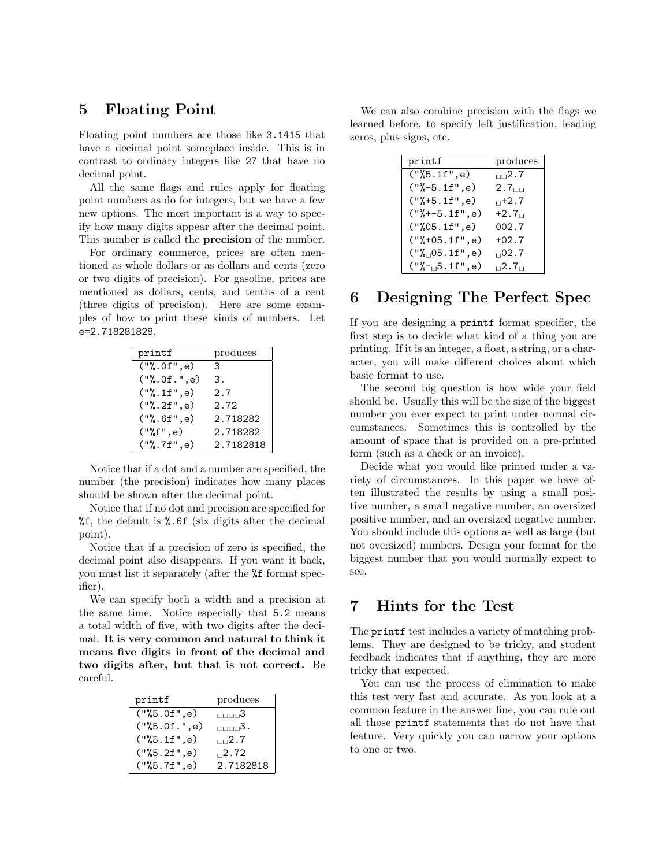### 5 Floating Point

Floating point numbers are those like 3.1415 that have a decimal point someplace inside. This is in contrast to ordinary integers like 27 that have no decimal point.

All the same flags and rules apply for floating point numbers as do for integers, but we have a few new options. The most important is a way to specify how many digits appear after the decimal point. This number is called the precision of the number.

For ordinary commerce, prices are often mentioned as whole dollars or as dollars and cents (zero or two digits of precision). For gasoline, prices are mentioned as dollars, cents, and tenths of a cent (three digits of precision). Here are some examples of how to print these kinds of numbers. Let e=2.718281828.

| printf         | produces  |
|----------------|-----------|
| ("%, 0f", e)   | 3         |
| ("%, 0f, ", e) | З.        |
| ("%, 1f", e)   | 2.7       |
| ("%, 2f", e)   | 2.72      |
| ("%, 6f", e)   | 2.718282  |
| ("%f", e)      | 2.718282  |
| ("%, 7f", e)   | 2.7182818 |

Notice that if a dot and a number are specified, the number (the precision) indicates how many places should be shown after the decimal point.

Notice that if no dot and precision are specified for %f, the default is %.6f (six digits after the decimal point).

Notice that if a precision of zero is specified, the decimal point also disappears. If you want it back, you must list it separately (after the %f format specifier).

We can specify both a width and a precision at the same time. Notice especially that 5.2 means a total width of five, with two digits after the decimal. It is very common and natural to think it means five digits in front of the decimal and two digits after, but that is not correct. Be careful.

| printf       | produces             |
|--------------|----------------------|
| ("%5.0f", e) | பபப⊔3                |
| ("%5.0f."e)  | $_{\text{LULL1}}$ 3. |
| ("%5.1f", e) | 1.12.7               |
| ("%5.2f", e) | 12.72                |
| ("%5.7f", e) | 2.7182818            |

We can also combine precision with the flags we learned before, to specify left justification, leading zeros, plus signs, etc.

| printf               | produces         |
|----------------------|------------------|
| ("%5.1f", e)         | 1.12.7           |
| $("%-5.1f", e)$      | 2.7 <sub>1</sub> |
| $("%+5.1f", e)$      | $1 + 2.7$        |
| $("%+-5.1f", e)$     | $+2.7$           |
| ("%05.1f", e)        | 002.7            |
| $("%+05.1f", e)$     | $+02.7$          |
| ("%05.1f", e)        | 102.7            |
| $("%_{-1.5}.1f", e)$ | 12.71            |

## 6 Designing The Perfect Spec

If you are designing a printf format specifier, the first step is to decide what kind of a thing you are printing. If it is an integer, a float, a string, or a character, you will make different choices about which basic format to use.

The second big question is how wide your field should be. Usually this will be the size of the biggest number you ever expect to print under normal circumstances. Sometimes this is controlled by the amount of space that is provided on a pre-printed form (such as a check or an invoice).

Decide what you would like printed under a variety of circumstances. In this paper we have often illustrated the results by using a small positive number, a small negative number, an oversized positive number, and an oversized negative number. You should include this options as well as large (but not oversized) numbers. Design your format for the biggest number that you would normally expect to see.

### 7 Hints for the Test

The printf test includes a variety of matching problems. They are designed to be tricky, and student feedback indicates that if anything, they are more tricky that expected.

You can use the process of elimination to make this test very fast and accurate. As you look at a common feature in the answer line, you can rule out all those printf statements that do not have that feature. Very quickly you can narrow your options to one or two.